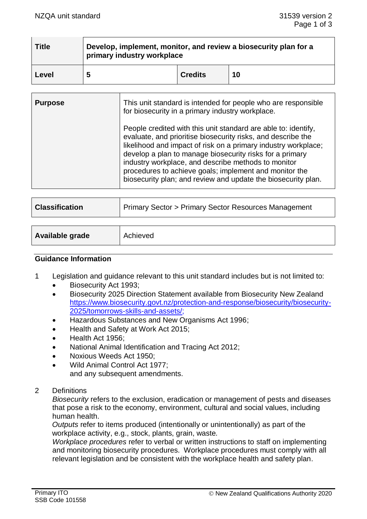| <b>Title</b> | Develop, implement, monitor, and review a biosecurity plan for a<br>primary industry workplace |                |    |  |
|--------------|------------------------------------------------------------------------------------------------|----------------|----|--|
| Level        | 5                                                                                              | <b>Credits</b> | 10 |  |

| <b>Purpose</b> | This unit standard is intended for people who are responsible<br>for biosecurity in a primary industry workplace.                                                                                                                                                                                                                                                                                                                              |  |
|----------------|------------------------------------------------------------------------------------------------------------------------------------------------------------------------------------------------------------------------------------------------------------------------------------------------------------------------------------------------------------------------------------------------------------------------------------------------|--|
|                | People credited with this unit standard are able to: identify,<br>evaluate, and prioritise biosecurity risks, and describe the<br>likelihood and impact of risk on a primary industry workplace;<br>develop a plan to manage biosecurity risks for a primary<br>industry workplace, and describe methods to monitor<br>procedures to achieve goals; implement and monitor the<br>biosecurity plan; and review and update the biosecurity plan. |  |

| <b>Classification</b> | <b>Primary Sector &gt; Primary Sector Resources Management</b> |
|-----------------------|----------------------------------------------------------------|
|                       |                                                                |

| Available grade<br>Achieved |
|-----------------------------|
|-----------------------------|

## **Guidance Information**

- 1 Legislation and guidance relevant to this unit standard includes but is not limited to:
	- Biosecurity Act 1993;
	- Biosecurity 2025 Direction Statement available from Biosecurity New Zealand [https://www.biosecurity.govt.nz/protection-and-response/biosecurity/biosecurity-](https://www.biosecurity.govt.nz/protection-and-response/biosecurity/biosecurity-2025/tomorrows-skills-and-assets/)[2025/tomorrows-skills-and-assets/;](https://www.biosecurity.govt.nz/protection-and-response/biosecurity/biosecurity-2025/tomorrows-skills-and-assets/)
	- Hazardous Substances and New Organisms Act 1996;
	- Health and Safety at Work Act 2015;
	- Health Act 1956;
	- National Animal Identification and Tracing Act 2012;
	- Noxious Weeds Act 1950;
	- Wild Animal Control Act 1977; and any subsequent amendments.
- 2 Definitions

*Biosecurity* refers to the exclusion, eradication or management of pests and diseases that pose a risk to the economy, environment, cultural and social values, including human health.

*Outputs* refer to items produced (intentionally or unintentionally) as part of the workplace activity, e.g., stock, plants, grain, waste*.*

*Workplace procedures* refer to verbal or written instructions to staff on implementing and monitoring biosecurity procedures. Workplace procedures must comply with all relevant legislation and be consistent with the workplace health and safety plan.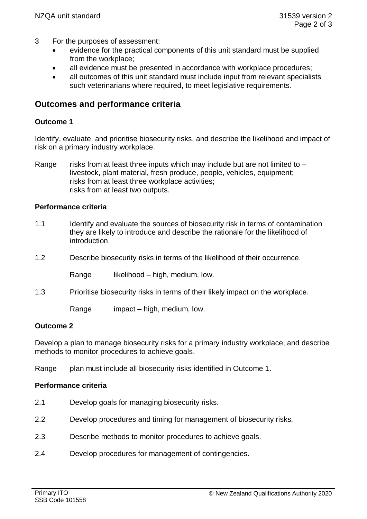- 3 For the purposes of assessment:
	- evidence for the practical components of this unit standard must be supplied from the workplace;
	- all evidence must be presented in accordance with workplace procedures;
	- all outcomes of this unit standard must include input from relevant specialists such veterinarians where required, to meet legislative requirements.

# **Outcomes and performance criteria**

## **Outcome 1**

Identify, evaluate, and prioritise biosecurity risks, and describe the likelihood and impact of risk on a primary industry workplace.

Range risks from at least three inputs which may include but are not limited to  $$ livestock, plant material, fresh produce, people, vehicles, equipment; risks from at least three workplace activities; risks from at least two outputs.

# **Performance criteria**

- 1.1 Identify and evaluate the sources of biosecurity risk in terms of contamination they are likely to introduce and describe the rationale for the likelihood of introduction.
- 1.2 Describe biosecurity risks in terms of the likelihood of their occurrence.

Range likelihood – high, medium, low.

1.3 Prioritise biosecurity risks in terms of their likely impact on the workplace.

Range impact – high, medium, low.

## **Outcome 2**

Develop a plan to manage biosecurity risks for a primary industry workplace, and describe methods to monitor procedures to achieve goals.

Range plan must include all biosecurity risks identified in Outcome 1.

## **Performance criteria**

- 2.1 Develop goals for managing biosecurity risks.
- 2.2 Develop procedures and timing for management of biosecurity risks.
- 2.3 Describe methods to monitor procedures to achieve goals.
- 2.4 Develop procedures for management of contingencies.